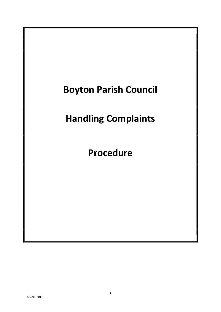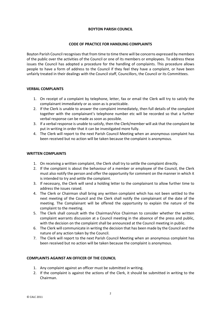## BOYTON PARISH COUNCIL

## CODE OF PRACTICE FOR HANDLING COMPLAINTS

Boyton Parish Council recognises that from time to time there will be concerns expressed by members of the public over the activities of the Council or one of its members or employees. To address these issues the Council has adopted a procedure for the handling of complaints. This procedure allows people to have a form of address to the Council if they feel they have a complaint, or have been unfairly treated in their dealings with the Council staff, Councillors, the Council or its Committees.

## VERBAL COMPLAINTS

- 1. On receipt of a complaint by telephone, letter, fax or email the Clerk will try to satisfy the complainant immediately or as soon as is practicable.
- 2. If the Clerk is unable to answer the complaint immediately, then full details of the complaint together with the complainant's telephone number etc will be recorded so that a further verbal response can be made as soon as possible.
- 3. If a verbal response is unable to satisfy, then the Clerk/member will ask that the complaint be put in writing in order that it can be investigated more fully.
- 4. The Clerk will report to the next Parish Council Meeting when an anonymous complaint has been received but no action will be taken because the complaint is anonymous.

#### WRITTEN COMPLAINTS

- 1. On receiving a written complaint, the Clerk shall try to settle the complaint directly.
- 2. If the complaint is about the behaviour of a member or employee of the Council, the Clerk must also notify the person and offer the opportunity for comment on the manner in which it is intended to try and settle the complaint.
- 3. If necessary, the Clerk will send a holding letter to the complainant to allow further time to address the issues raised.
- 4. The Clerk or Chairman shall bring any written complaint which has not been settled to the next meeting of the Council and the Clerk shall notify the complainant of the date of the meeting. The Complainant will be offered the opportunity to explain the nature of the complaint to the meeting.
- 5. The Clerk shall consult with the Chairman/Vice Chairman to consider whether the written complaint warrants discussion at a Council meeting in the absence of the press and public, with the decision on the complaint shall be announced at the Council meeting in public.
- 6. The Clerk will communicate in writing the decision that has been made by the Council and the nature of any action taken by the Council.
- 7. The Clerk will report to the next Parish Council Meeting when an anonymous complaint has been received but no action will be taken because the complaint is anonymous.

# COMPLAINTS AGAINST AN OFFICER OF THE COUNCIL

- 1. Any complaint against an officer must be submitted in writing.
- 2. If the complaint is against the actions of the Clerk, it should be submitted in writing to the Chairman.